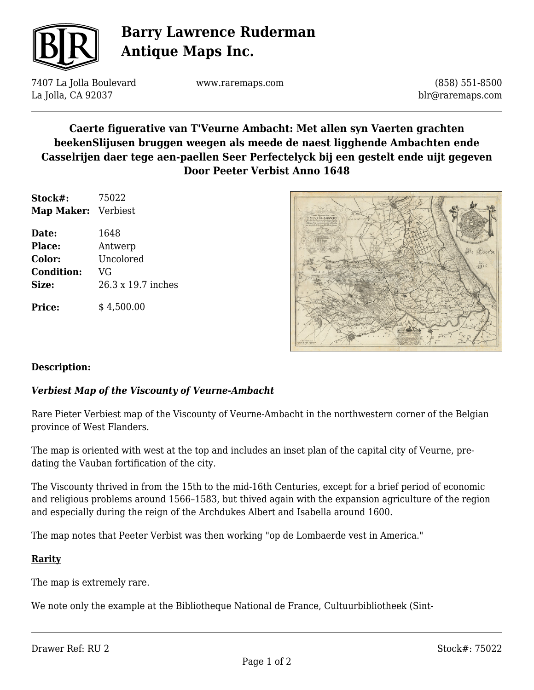

# **Barry Lawrence Ruderman Antique Maps Inc.**

7407 La Jolla Boulevard La Jolla, CA 92037

www.raremaps.com

(858) 551-8500 blr@raremaps.com

### **Caerte figuerative van T'Veurne Ambacht: Met allen syn Vaerten grachten beekenSlijusen bruggen weegen als meede de naest ligghende Ambachten ende Casselrijen daer tege aen-paellen Seer Perfectelyck bij een gestelt ende uijt gegeven Door Peeter Verbist Anno 1648**

| Stock#:<br>Map Maker: Verbiest | 75022              |
|--------------------------------|--------------------|
|                                |                    |
| <b>Place:</b>                  | Antwerp            |
| Color:                         | Uncolored          |
| <b>Condition:</b>              | VG                 |
| Size:                          | 26.3 x 19.7 inches |
| <b>Price:</b>                  | \$4,500.00         |



#### **Description:**

#### *Verbiest Map of the Viscounty of Veurne-Ambacht*

Rare Pieter Verbiest map of the Viscounty of Veurne-Ambacht in the northwestern corner of the Belgian province of West Flanders.

The map is oriented with west at the top and includes an inset plan of the capital city of Veurne, predating the Vauban fortification of the city.

The Viscounty thrived in from the 15th to the mid-16th Centuries, except for a brief period of economic and religious problems around 1566–1583, but thived again with the expansion agriculture of the region and especially during the reign of the Archdukes Albert and Isabella around 1600.

The map notes that Peeter Verbist was then working "op de Lombaerde vest in America."

#### **Rarity**

The map is extremely rare.

We note only the example at the Bibliotheque National de France, Cultuurbibliotheek (Sint-